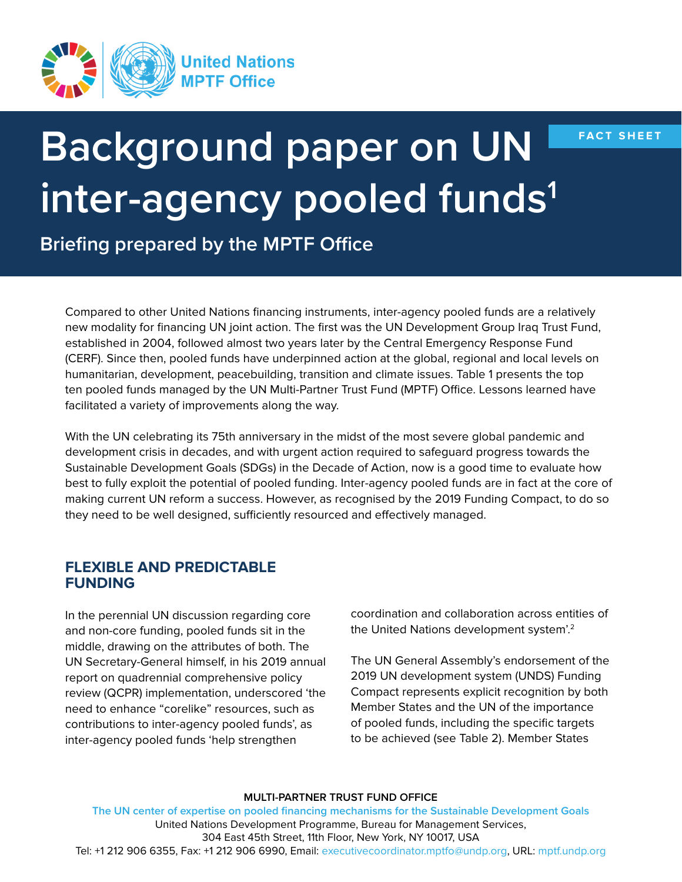

**FACT SHEET**

# **Background paper on UN inter-agency pooled funds1**

**Briefing prepared by the MPTF Office**

Compared to other United Nations financing instruments, inter-agency pooled funds are a relatively new modality for financing UN joint action. The first was the UN Development Group Iraq Trust Fund, established in 2004, followed almost two years later by the Central Emergency Response Fund (CERF). Since then, pooled funds have underpinned action at the global, regional and local levels on humanitarian, development, peacebuilding, transition and climate issues. Table 1 presents the top ten pooled funds managed by the UN Multi-Partner Trust Fund (MPTF) Office. Lessons learned have facilitated a variety of improvements along the way.

With the UN celebrating its 75th anniversary in the midst of the most severe global pandemic and development crisis in decades, and with urgent action required to safeguard progress towards the Sustainable Development Goals (SDGs) in the Decade of Action, now is a good time to evaluate how best to fully exploit the potential of pooled funding. Inter-agency pooled funds are in fact at the core of making current UN reform a success. However, as recognised by the 2019 Funding Compact, to do so they need to be well designed, sufficiently resourced and effectively managed.

## **FLEXIBLE AND PREDICTABLE FUNDING**

In the perennial UN discussion regarding core and non-core funding, pooled funds sit in the middle, drawing on the attributes of both. The UN Secretary-General himself, in his 2019 annual report on quadrennial comprehensive policy review (QCPR) implementation, underscored 'the need to enhance "corelike" resources, such as contributions to inter-agency pooled funds', as inter-agency pooled funds 'help strengthen

coordination and collaboration across entities of the United Nations development system'.2

The UN General Assembly's endorsement of the 2019 UN development system (UNDS) Funding Compact represents explicit recognition by both Member States and the UN of the importance of pooled funds, including the specific targets to be achieved (see Table 2). Member States

#### **MULTI-PARTNER TRUST FUND OFFICE**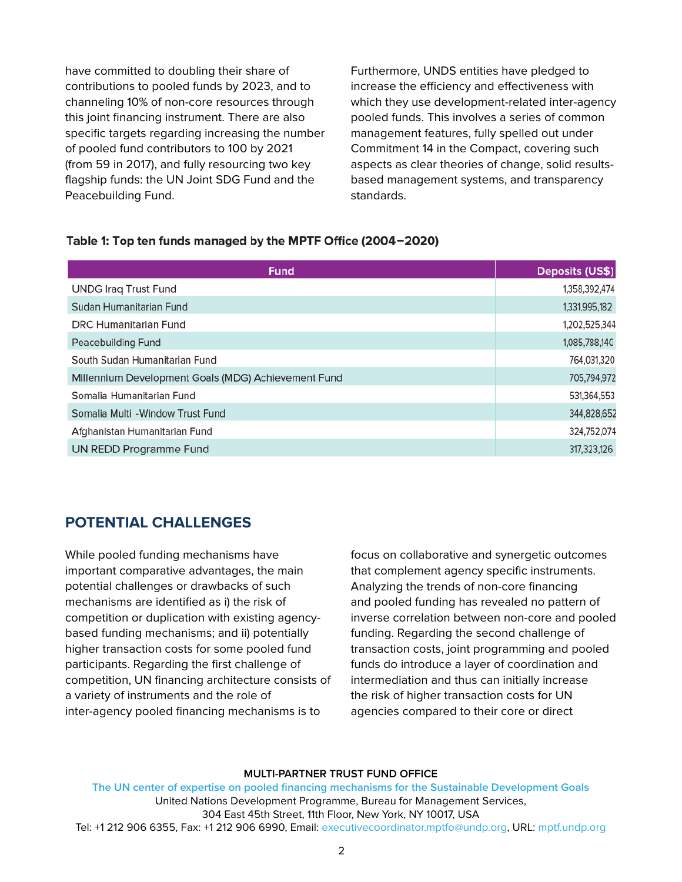have committed to doubling their share of contributions to pooled funds by 2023, and to channeling 10% of non-core resources through this joint financing instrument. There are also specific targets regarding increasing the number of pooled fund contributors to 100 by 2021 (from 59 in 2017), and fully resourcing two key flagship funds: the UN Joint SDG Fund and the Peacebuilding Fund.

Furthermore, UNDS entities have pledged to increase the efficiency and effectiveness with which they use development-related inter-agency pooled funds. This involves a series of common management features, fully spelled out under Commitment 14 in the Compact, covering such aspects as clear theories of change, solid resultsbased management systems, and transparency standards.

## Table 1: Top ten funds managed by the MPTF Office (2004-2020)

| <b>Fund</b>                                         | Deposits (US\$) |
|-----------------------------------------------------|-----------------|
| <b>UNDG Iraq Trust Fund</b>                         | 1,358,392,474   |
| Sudan Humanitarian Fund                             | 1,331,995,182   |
| <b>DRC Humanitarian Fund</b>                        | 1,202,525,344   |
| <b>Peacebuilding Fund</b>                           | 1,085,788,140   |
| South Sudan Humanitarian Fund                       | 764,031,320     |
| Millennium Development Goals (MDG) Achievement Fund | 705,794,972     |
| Somalia Humanitarian Fund                           | 531,364,553     |
| Somalia Multi - Window Trust Fund                   | 344,828,652     |
| Afghanistan Humanitarian Fund                       | 324,752,074     |
| <b>UN REDD Programme Fund</b>                       | 317,323,126     |

## **POTENTIAL CHALLENGES**

While pooled funding mechanisms have important comparative advantages, the main potential challenges or drawbacks of such mechanisms are identified as i) the risk of competition or duplication with existing agencybased funding mechanisms; and ii) potentially higher transaction costs for some pooled fund participants. Regarding the first challenge of competition, UN financing architecture consists of a variety of instruments and the role of inter-agency pooled financing mechanisms is to

focus on collaborative and synergetic outcomes that complement agency specific instruments. Analyzing the trends of non-core financing and pooled funding has revealed no pattern of inverse correlation between non-core and pooled funding. Regarding the second challenge of transaction costs, joint programming and pooled funds do introduce a layer of coordination and intermediation and thus can initially increase the risk of higher transaction costs for UN agencies compared to their core or direct

#### **MULTI-PARTNER TRUST FUND OFFICE**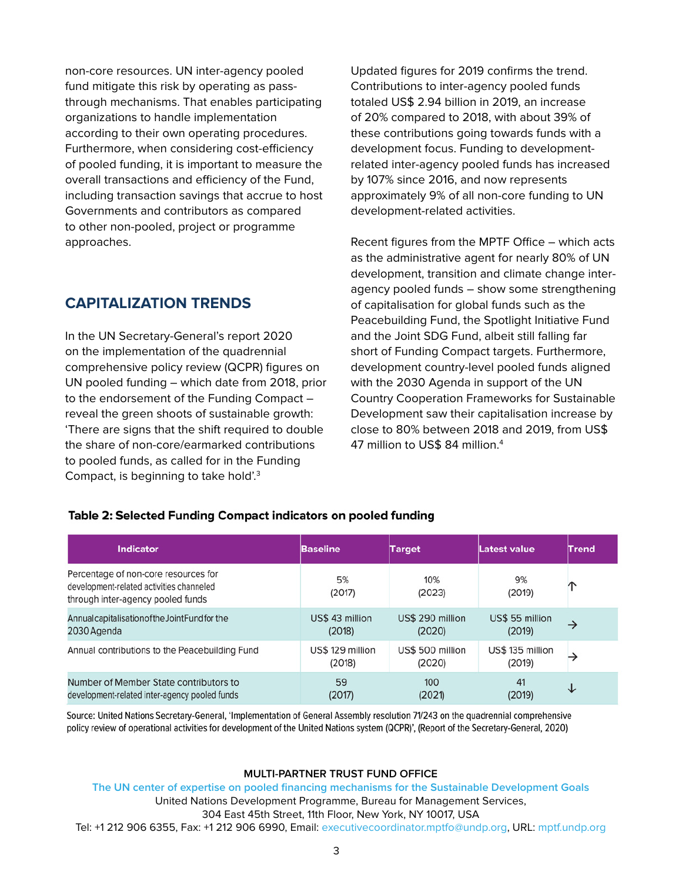non-core resources. UN inter-agency pooled fund mitigate this risk by operating as passthrough mechanisms. That enables participating organizations to handle implementation according to their own operating procedures. Furthermore, when considering cost-efficiency of pooled funding, it is important to measure the overall transactions and efficiency of the Fund, including transaction savings that accrue to host Governments and contributors as compared to other non-pooled, project or programme approaches.

## **CAPITALIZATION TRENDS**

In the UN Secretary-General's report 2020 on the implementation of the quadrennial comprehensive policy review (QCPR) figures on UN pooled funding – which date from 2018, prior to the endorsement of the Funding Compact – reveal the green shoots of sustainable growth: 'There are signs that the shift required to double the share of non-core/earmarked contributions to pooled funds, as called for in the Funding Compact, is beginning to take hold'.3

Updated figures for 2019 confirms the trend. Contributions to inter-agency pooled funds totaled US\$ 2.94 billion in 2019, an increase of 20% compared to 2018, with about 39% of these contributions going towards funds with a development focus. Funding to developmentrelated inter-agency pooled funds has increased by 107% since 2016, and now represents approximately 9% of all non-core funding to UN development-related activities.

Recent figures from the MPTF Office – which acts as the administrative agent for nearly 80% of UN development, transition and climate change interagency pooled funds – show some strengthening of capitalisation for global funds such as the Peacebuilding Fund, the Spotlight Initiative Fund and the Joint SDG Fund, albeit still falling far short of Funding Compact targets. Furthermore, development country-level pooled funds aligned with the 2030 Agenda in support of the UN Country Cooperation Frameworks for Sustainable Development saw their capitalisation increase by close to 80% between 2018 and 2019, from US\$ 47 million to US\$ 84 million.4

## Table 2: Selected Funding Compact indicators on pooled funding

| <b>Indicator</b>                                                                                                      | <b>Baseline</b>            | <b>Target</b>              | Latest value               | Trend         |
|-----------------------------------------------------------------------------------------------------------------------|----------------------------|----------------------------|----------------------------|---------------|
| Percentage of non-core resources for<br>development-related activities channeled<br>through inter-agency pooled funds | 5%<br>(2017)               | 10%<br>(2023)              | 9%<br>(2019)               | ∩             |
| Annual capitalisation of the Joint Fund for the<br>2030 Agenda                                                        | US\$ 43 million<br>(2018)  | US\$ 290 million<br>(2020) | US\$ 55 million<br>(2019)  | $\rightarrow$ |
| Annual contributions to the Peacebuilding Fund                                                                        | US\$ 129 million<br>(2018) | US\$ 500 million<br>(2020) | US\$ 135 million<br>(2019) | →             |
| Number of Member State contributors to<br>development-related inter-agency pooled funds                               | 59<br>(2017)               | 100<br>(2021)              | 41<br>(2019)               | ↓             |

Source: United Nations Secretary-General, 'Implementation of General Assembly resolution 71/243 on the quadrennial comprehensive policy review of operational activities for development of the United Nations system (QCPR)', (Report of the Secretary-General, 2020)

#### **MULTI-PARTNER TRUST FUND OFFICE**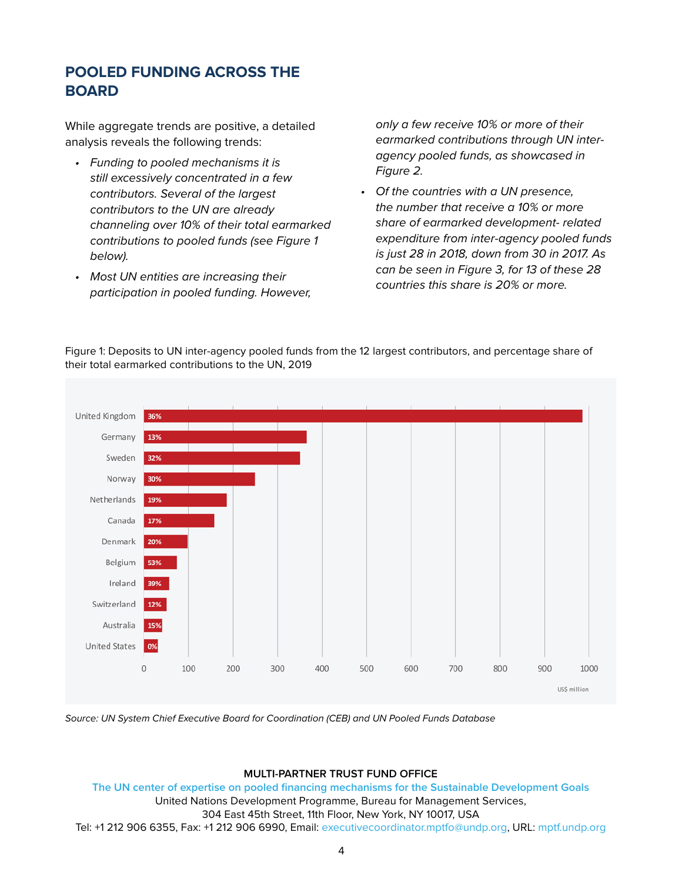# **POOLED FUNDING ACROSS THE BOARD**

While aggregate trends are positive, a detailed analysis reveals the following trends:

- *• Funding to pooled mechanisms it is still excessively concentrated in a few contributors. Several of the largest contributors to the UN are already channeling over 10% of their total earmarked contributions to pooled funds (see Figure 1 below).*
- *• Most UN entities are increasing their participation in pooled funding. However,*

*only a few receive 10% or more of their earmarked contributions through UN interagency pooled funds, as showcased in Figure 2.*

*• Of the countries with a UN presence, the number that receive a 10% or more share of earmarked development- related expenditure from inter-agency pooled funds is just 28 in 2018, down from 30 in 2017. As can be seen in Figure 3, for 13 of these 28 countries this share is 20% or more.*



Figure 1: Deposits to UN inter-agency pooled funds from the 12 largest contributors, and percentage share of their total earmarked contributions to the UN, 2019

*Source: UN System Chief Executive Board for Coordination (CEB) and UN Pooled Funds Database*

### **MULTI-PARTNER TRUST FUND OFFICE**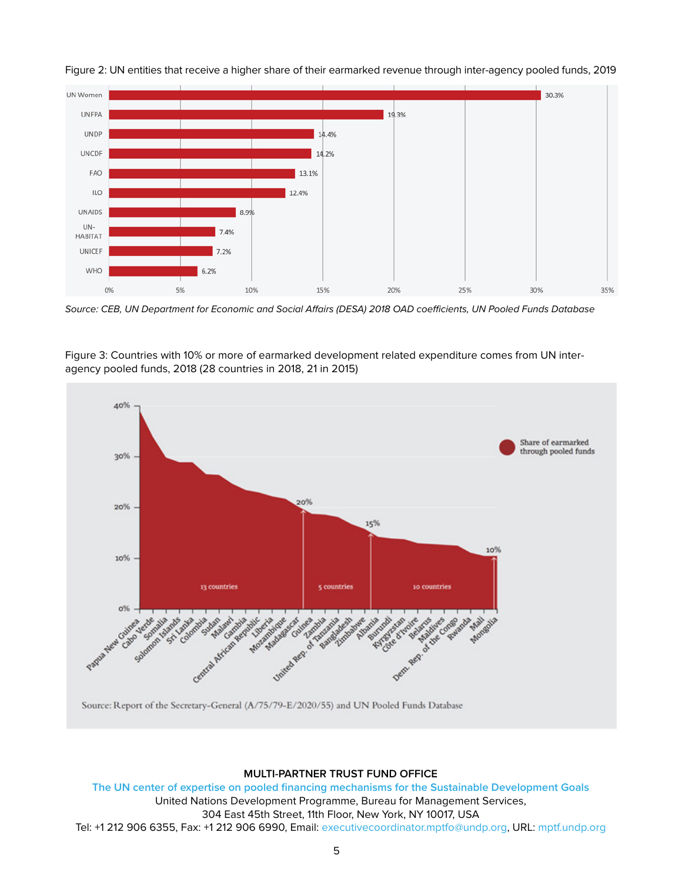



*Source: CEB, UN Department for Economic and Social Affairs (DESA) 2018 OAD coefficients, UN Pooled Funds Database*





## **MULTI-PARTNER TRUST FUND OFFICE**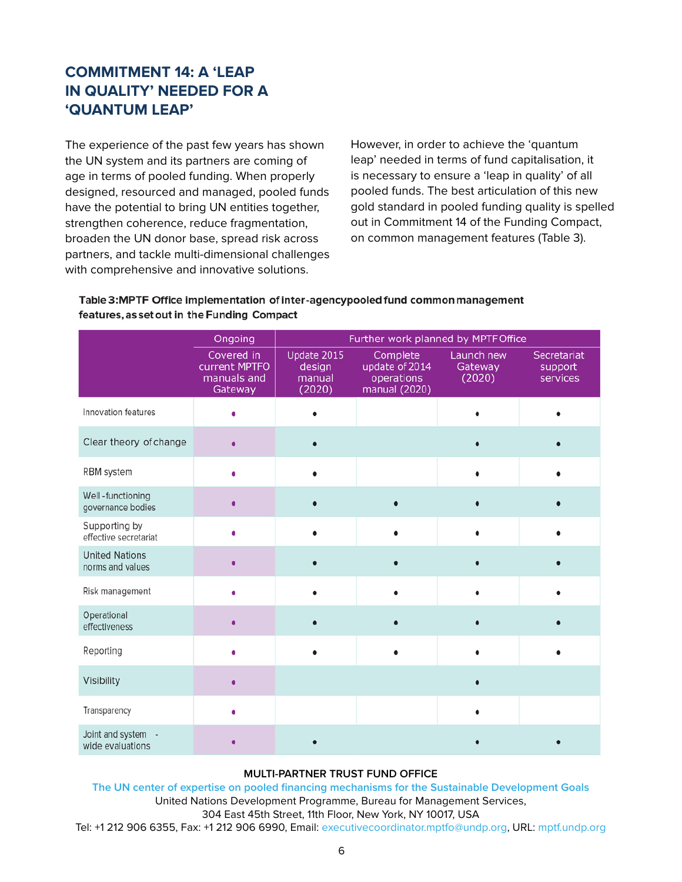# **COMMITMENT 14: A 'LEAP IN QUALITY' NEEDED FOR A 'QUANTUM LEAP'**

The experience of the past few years has shown the UN system and its partners are coming of age in terms of pooled funding. When properly designed, resourced and managed, pooled funds have the potential to bring UN entities together, strengthen coherence, reduce fragmentation, broaden the UN donor base, spread risk across partners, and tackle multi-dimensional challenges with comprehensive and innovative solutions.

However, in order to achieve the 'quantum leap' needed in terms of fund capitalisation, it is necessary to ensure a 'leap in quality' of all pooled funds. The best articulation of this new gold standard in pooled funding quality is spelled out in Commitment 14 of the Funding Compact, on common management features (Table 3).

## Table 3:MPTF Office implementation of inter-agencypooled fund common management features, as set out in the Funding Compact

|                                           | Ongoing                                               | Further work planned by MPTF Office       |                                                           |                                 |                                    |  |
|-------------------------------------------|-------------------------------------------------------|-------------------------------------------|-----------------------------------------------------------|---------------------------------|------------------------------------|--|
|                                           | Covered in<br>current MPTFO<br>manuals and<br>Gateway | Update 2015<br>design<br>manual<br>(2020) | Complete<br>update of 2014<br>operations<br>manual (2020) | Launch new<br>Gateway<br>(2020) | Secretariat<br>support<br>services |  |
| Innovation features                       |                                                       |                                           |                                                           |                                 |                                    |  |
| Clear theory of change                    |                                                       |                                           |                                                           |                                 |                                    |  |
| RBM system                                |                                                       |                                           |                                                           |                                 |                                    |  |
| Well-functioning<br>governance bodies     |                                                       |                                           |                                                           |                                 |                                    |  |
| Supporting by<br>effective secretariat    |                                                       |                                           |                                                           |                                 |                                    |  |
| <b>United Nations</b><br>norms and values |                                                       |                                           |                                                           |                                 |                                    |  |
| Risk management                           |                                                       |                                           |                                                           |                                 |                                    |  |
| Operational<br>effectiveness              |                                                       |                                           |                                                           |                                 |                                    |  |
| Reporting                                 |                                                       |                                           | $\bullet$                                                 |                                 |                                    |  |
| Visibility                                |                                                       |                                           |                                                           |                                 |                                    |  |
| Transparency                              |                                                       |                                           |                                                           |                                 |                                    |  |
| Joint and system -<br>wide evaluations    |                                                       |                                           |                                                           |                                 |                                    |  |

#### **MULTI-PARTNER TRUST FUND OFFICE**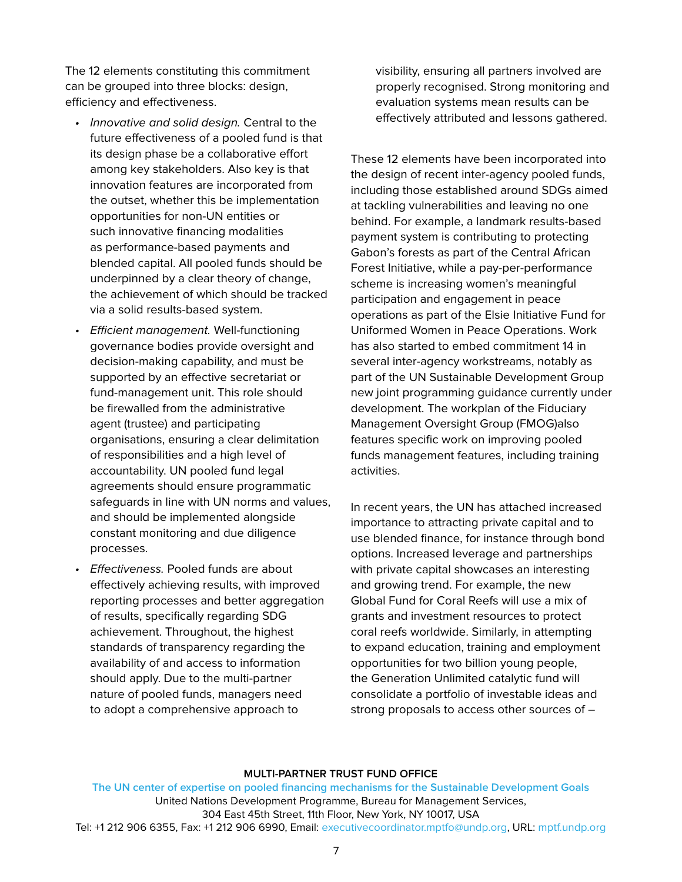The 12 elements constituting this commitment can be grouped into three blocks: design, efficiency and effectiveness.

- *• Innovative and solid design.* Central to the future effectiveness of a pooled fund is that its design phase be a collaborative effort among key stakeholders. Also key is that innovation features are incorporated from the outset, whether this be implementation opportunities for non-UN entities or such innovative financing modalities as performance-based payments and blended capital. All pooled funds should be underpinned by a clear theory of change, the achievement of which should be tracked via a solid results-based system.
- *• Efficient management.* Well-functioning governance bodies provide oversight and decision-making capability, and must be supported by an effective secretariat or fund-management unit. This role should be firewalled from the administrative agent (trustee) and participating organisations, ensuring a clear delimitation of responsibilities and a high level of accountability. UN pooled fund legal agreements should ensure programmatic safeguards in line with UN norms and values, and should be implemented alongside constant monitoring and due diligence processes.
- *• Effectiveness.* Pooled funds are about effectively achieving results, with improved reporting processes and better aggregation of results, specifically regarding SDG achievement. Throughout, the highest standards of transparency regarding the availability of and access to information should apply. Due to the multi-partner nature of pooled funds, managers need to adopt a comprehensive approach to

visibility, ensuring all partners involved are properly recognised. Strong monitoring and evaluation systems mean results can be effectively attributed and lessons gathered.

These 12 elements have been incorporated into the design of recent inter-agency pooled funds, including those established around SDGs aimed at tackling vulnerabilities and leaving no one behind. For example, a landmark results-based payment system is contributing to protecting Gabon's forests as part of the Central African Forest Initiative, while a pay-per-performance scheme is increasing women's meaningful participation and engagement in peace operations as part of the Elsie Initiative Fund for Uniformed Women in Peace Operations. Work has also started to embed commitment 14 in several inter-agency workstreams, notably as part of the UN Sustainable Development Group new joint programming guidance currently under development. The workplan of the Fiduciary Management Oversight Group (FMOG)also features specific work on improving pooled funds management features, including training activities.

In recent years, the UN has attached increased importance to attracting private capital and to use blended finance, for instance through bond options. Increased leverage and partnerships with private capital showcases an interesting and growing trend. For example, the new Global Fund for Coral Reefs will use a mix of grants and investment resources to protect coral reefs worldwide. Similarly, in attempting to expand education, training and employment opportunities for two billion young people, the Generation Unlimited catalytic fund will consolidate a portfolio of investable ideas and strong proposals to access other sources of –

#### **MULTI-PARTNER TRUST FUND OFFICE**